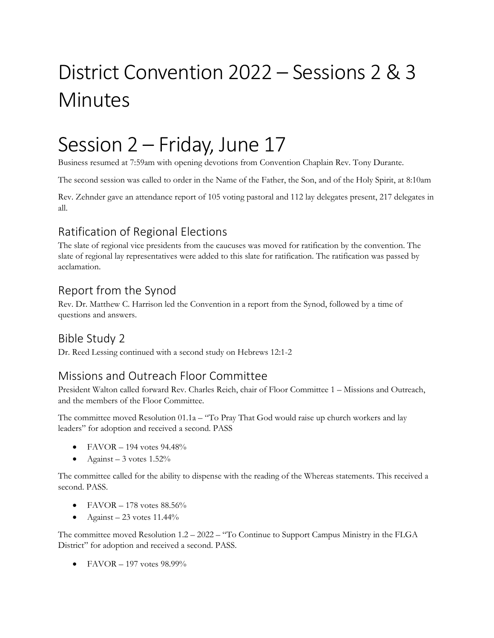# District Convention 2022 – Sessions 2 & 3 Minutes

## Session 2 – Friday, June 17

Business resumed at 7:59am with opening devotions from Convention Chaplain Rev. Tony Durante.

The second session was called to order in the Name of the Father, the Son, and of the Holy Spirit, at 8:10am

Rev. Zehnder gave an attendance report of 105 voting pastoral and 112 lay delegates present, 217 delegates in all.

## Ratification of Regional Elections

The slate of regional vice presidents from the caucuses was moved for ratification by the convention. The slate of regional lay representatives were added to this slate for ratification. The ratification was passed by acclamation.

#### Report from the Synod

Rev. Dr. Matthew C. Harrison led the Convention in a report from the Synod, followed by a time of questions and answers.

### Bible Study 2

Dr. Reed Lessing continued with a second study on Hebrews 12:1-2

### Missions and Outreach Floor Committee

President Walton called forward Rev. Charles Reich, chair of Floor Committee 1 – Missions and Outreach, and the members of the Floor Committee.

The committee moved Resolution  $01.1a -$  "To Pray That God would raise up church workers and lay leaders" for adoption and received a second. PASS

- FAVOR  $-$  194 votes 94.48%
- Against  $-3$  votes  $1.52\%$

The committee called for the ability to dispense with the reading of the Whereas statements. This received a second. PASS.

- FAVOR  $178$  votes  $88.56\%$
- Against 23 votes  $11.44\%$

The committee moved Resolution 1.2 – 2022 – "To Continue to Support Campus Ministry in the FLGA District" for adoption and received a second. PASS.

• FAVOR – 197 votes 98.99%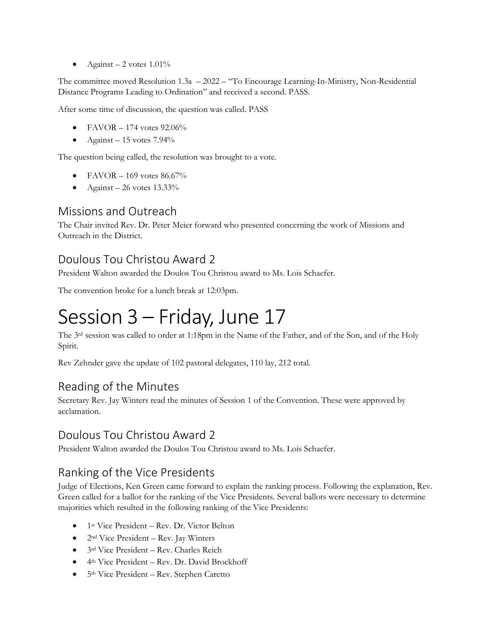• Against – 2 votes  $1.01\%$ 

The committee moved Resolution 1.3a – 2022 – "To Encourage Learning-In-Ministry, Non-Residential Distance Programs Leading to Ordination" and received a second. PASS.

After some time of discussion, the question was called. PASS

- FAVOR 174 votes 92.06%
- Against  $-15$  votes  $7.94\%$

The question being called, the resolution was brought to a vote.

- FAVOR 169 votes 86.67%
- Against 26 votes  $13.33\%$

#### Missions and Outreach

The Chair invited Rev. Dr. Peter Meier forward who presented concerning the work of Missions and Outreach in the District.

### Doulous Tou Christou Award 2

President Walton awarded the Doulos Tou Christou award to Ms. Lois Schaefer.

The convention broke for a lunch break at 12:03pm.

## Session 3 – Friday, June 17

The 3rd session was called to order at 1:18pm in the Name of the Father, and of the Son, and of the Holy Spirit.

Rev Zehnder gave the update of 102 pastoral delegates, 110 lay, 212 total.

### Reading of the Minutes

Secretary Rev. Jay Winters read the minutes of Session 1 of the Convention. These were approved by acclamation.

#### Doulous Tou Christou Award 2

President Walton awarded the Doulos Tou Christou award to Ms. Lois Schaefer.

### Ranking of the Vice Presidents

Judge of Elections, Ken Green came forward to explain the ranking process. Following the explanation, Rev. Green called for a ballot for the ranking of the Vice Presidents. Several ballots were necessary to determine majorities which resulted in the following ranking of the Vice Presidents:

- 1<sup>st</sup> Vice President Rev. Dr. Victor Belton
- $\bullet$  2<sup>nd</sup> Vice President Rev. Jay Winters
- 3rd Vice President Rev. Charles Reich
- 4th Vice President Rev. Dr. David Brockhoff
- 5<sup>th</sup> Vice President Rev. Stephen Caretto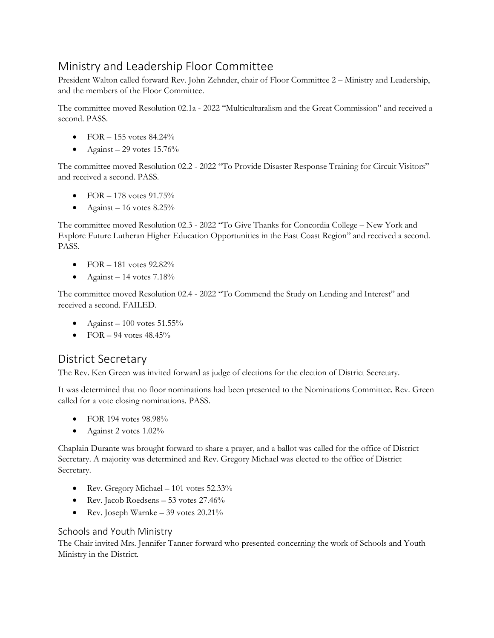## Ministry and Leadership Floor Committee

President Walton called forward Rev. John Zehnder, chair of Floor Committee 2 – Ministry and Leadership, and the members of the Floor Committee.

The committee moved Resolution 02.1a - 2022 "Multiculturalism and the Great Commission" and received a second. PASS.

- FOR  $-155$  votes  $84.24\%$
- Against 29 votes  $15.76\%$

The committee moved Resolution 02.2 - 2022 "To Provide Disaster Response Training for Circuit Visitors" and received a second. PASS.

- $FOR 178$  votes 91.75%
- Against 16 votes  $8.25\%$

The committee moved Resolution 02.3 - 2022 "To Give Thanks for Concordia College – New York and Explore Future Lutheran Higher Education Opportunities in the East Coast Region" and received a second. PASS.

- FOR  $-181$  votes  $92.82\%$
- Against 14 votes  $7.18\%$

The committee moved Resolution 02.4 - 2022 "To Commend the Study on Lending and Interest" and received a second. FAILED.

- Against 100 votes  $51.55\%$
- FOR  $-$  94 votes 48.45%

#### District Secretary

The Rev. Ken Green was invited forward as judge of elections for the election of District Secretary.

It was determined that no floor nominations had been presented to the Nominations Committee. Rev. Green called for a vote closing nominations. PASS.

- FOR 194 votes 98.98%
- Against 2 votes  $1.02\%$

Chaplain Durante was brought forward to share a prayer, and a ballot was called for the office of District Secretary. A majority was determined and Rev. Gregory Michael was elected to the office of District Secretary.

- Rev. Gregory Michael 101 votes 52.33%
- Rev. Jacob Roedsens 53 votes 27.46%
- Rev. Joseph Warnke 39 votes 20.21%

#### Schools and Youth Ministry

The Chair invited Mrs. Jennifer Tanner forward who presented concerning the work of Schools and Youth Ministry in the District.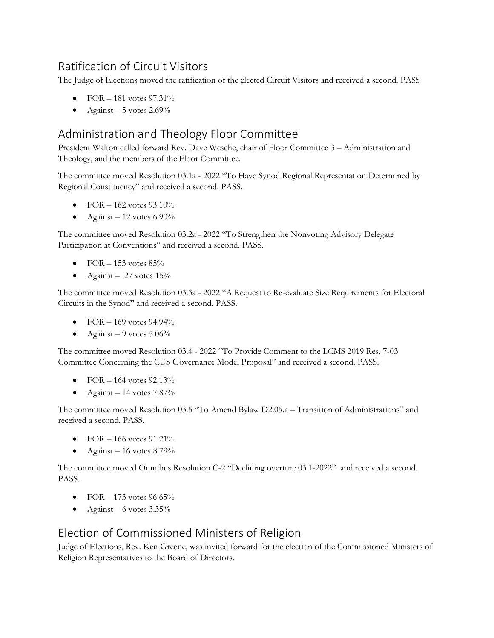## Ratification of Circuit Visitors

The Judge of Elections moved the ratification of the elected Circuit Visitors and received a second. PASS

- FOR  $-181$  votes 97.31%
- Against 5 votes  $2.69\%$

### Administration and Theology Floor Committee

President Walton called forward Rev. Dave Wesche, chair of Floor Committee 3 – Administration and Theology, and the members of the Floor Committee.

The committee moved Resolution 03.1a - 2022 "To Have Synod Regional Representation Determined by Regional Constituency" and received a second. PASS.

- FOR  $-162$  votes 93.10%
- Against  $-12$  votes 6.90%

The committee moved Resolution 03.2a - 2022 "To Strengthen the Nonvoting Advisory Delegate Participation at Conventions" and received a second. PASS.

- FOR  $-153$  votes  $85\%$
- Against 27 votes  $15%$

The committee moved Resolution 03.3a - 2022 "A Request to Re-evaluate Size Requirements for Electoral Circuits in the Synod" and received a second. PASS.

- FOR  $-169$  votes 94.94%
- Against 9 votes  $5.06\%$

The committee moved Resolution 03.4 - 2022 "To Provide Comment to the LCMS 2019 Res. 7-03 Committee Concerning the CUS Governance Model Proposal" and received a second. PASS.

- FOR  $164$  votes  $92.13\%$
- Against 14 votes  $7.87\%$

The committee moved Resolution 03.5 "To Amend Bylaw D2.05.a – Transition of Administrations" and received a second. PASS.

- FOR  $-166$  votes  $91.21\%$
- Against 16 votes  $8.79\%$

The committee moved Omnibus Resolution C-2 "Declining overture 03.1-2022" and received a second. PASS.

- FOR  $-173$  votes 96.65%
- Against 6 votes  $3.35\%$

### Election of Commissioned Ministers of Religion

Judge of Elections, Rev. Ken Greene, was invited forward for the election of the Commissioned Ministers of Religion Representatives to the Board of Directors.